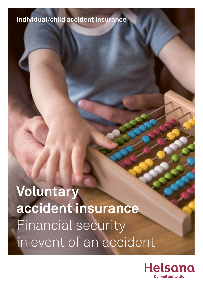# **Individual/child accident insurance**

**Voluntary accident insurance** Financial security in event of an accident

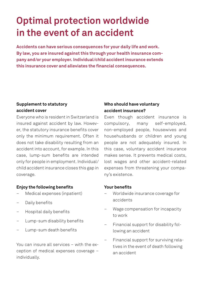# **Optimal protection worldwide in the event of an accident**

**Accidents can have serious consequences for your daily life and work. By law, you are insured against this through your health insurance company and/or your employer. Individual/child accident insurance extends this insurance cover and alleviates the financial consequences.**

### **Supplement to statutory accident cover**

Everyone who is resident in Switzerland is insured against accident by law. However, the statutory insurance benefits cover only the minimum requirement. Often it does not take disability resulting from an accident into account, for example. In this case, lump-sum benefits are intended only for people in employment. Individual/ child accident insurance closes this gap in coverage.

### **Enjoy the following benefits**

- Medical expenses (inpatient)
- Daily benefits
- Hospital daily benefits
- Lump-sum disability benefits
- Lump-sum death benefits

You can insure all services – with the exception of medical expenses coverage – individually.

## **Who should have voluntary accident insurance?**

Even though accident insurance is compulsory, many self-employed, non-employed people, housewives and househusbands or children and young people are not adequately insured. In this case, voluntary accident insurance makes sense. It prevents medical costs, lost wages and other accident-related expenses from threatening your company's existence.

#### **Your benefits**

- Worldwide insurance coverage for accidents
- Wage compensation for incapacity to work
- Financial support for disability following an accident
- Financial support for surviving relatives in the event of death following an accident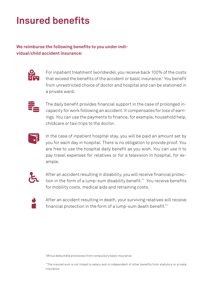# **Insured benefits**

# **We reimburse the following benefits to you under individual/child accident insurance:**



For inpatient treatment (worldwide), you receive back 100% of the costs that exceed the benefits of the accident or basic insurance.\* You benefit from unrestricted choice of doctor and hospital and can be stationed in a private ward.



The daily benefit provides financial support in the case of prolonged incapacity for work following an accident. It compensates for loss of earnings. You can use the payments to finance, for example, household help, childcare or taxi trips to the doctor.



In the case of inpatient hospital stay, you will be paid an amount set by you for each day in hospital. There is no obligation to provide proof. You are free to use the hospital daily benefit as you wish. You can use it to pay travel expenses for relatives or for a television in hospital, for example.



After an accident resulting in disability, you will receive financial protection in the form of a lump-sum disability benefit.\*\* You receive benefits for mobility costs, medical aids and retraining costs.



After an accident resulting in death, your surviving relatives will receive financial protection in the form of a lump-sum death benefit.\*\*

\* Minus deductible and excess from compulsory basic insurance.

\*\*The insured sum is not linked to salary and is independent of other benefits from statutory or private insurance.